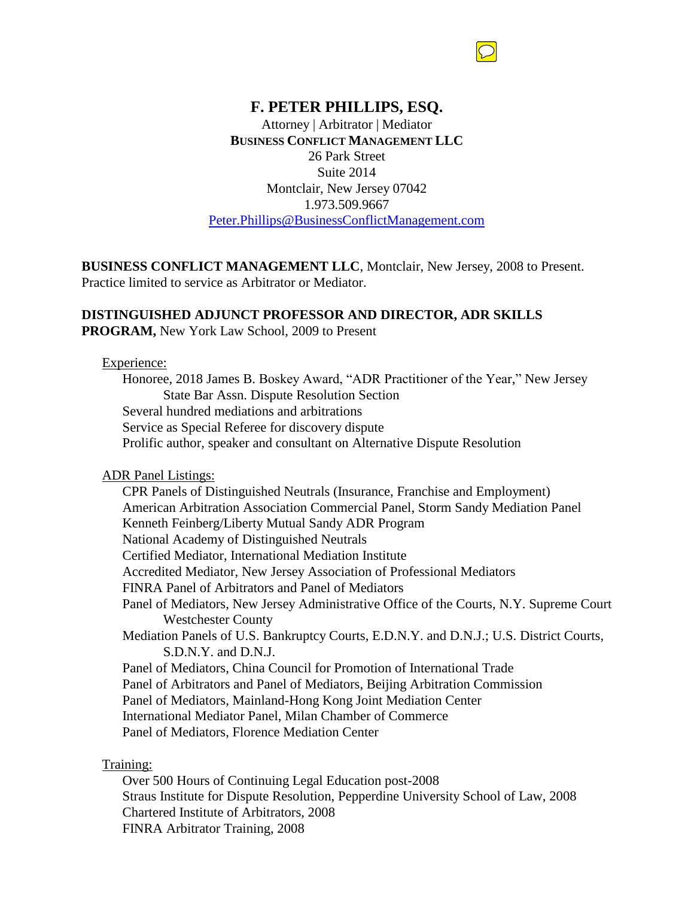

# **F. PETER PHILLIPS, ESQ.**

Attorney | Arbitrator | Mediator **BUSINESS CONFLICT MANAGEMENT LLC** 26 Park Street Suite 2014 Montclair, New Jersey 07042 1.973.509.9667 [Peter.Phillips@BusinessConflictManagement.com](mailto:FPeterPhillips@aol.com)

**BUSINESS CONFLICT MANAGEMENT LLC**, Montclair, New Jersey, 2008 to Present. Practice limited to service as Arbitrator or Mediator.

# **DISTINGUISHED ADJUNCT PROFESSOR AND DIRECTOR, ADR SKILLS**

**PROGRAM,** New York Law School, 2009 to Present

Experience:

Honoree, 2018 James B. Boskey Award, "ADR Practitioner of the Year," New Jersey State Bar Assn. Dispute Resolution Section Several hundred mediations and arbitrations Service as Special Referee for discovery dispute Prolific author, speaker and consultant on Alternative Dispute Resolution

### ADR Panel Listings:

CPR Panels of Distinguished Neutrals (Insurance, Franchise and Employment) American Arbitration Association Commercial Panel, Storm Sandy Mediation Panel Kenneth Feinberg/Liberty Mutual Sandy ADR Program National Academy of Distinguished Neutrals Certified Mediator, International Mediation Institute Accredited Mediator, New Jersey Association of Professional Mediators FINRA Panel of Arbitrators and Panel of Mediators Panel of Mediators, New Jersey Administrative Office of the Courts, N.Y. Supreme Court Westchester County Mediation Panels of U.S. Bankruptcy Courts, E.D.N.Y. and D.N.J.; U.S. District Courts, S.D.N.Y. and D.N.J. Panel of Mediators, China Council for Promotion of International Trade Panel of Arbitrators and Panel of Mediators, Beijing Arbitration Commission Panel of Mediators, Mainland-Hong Kong Joint Mediation Center International Mediator Panel, Milan Chamber of Commerce Panel of Mediators, Florence Mediation Center

### Training:

Over 500 Hours of Continuing Legal Education post-2008 Straus Institute for Dispute Resolution, Pepperdine University School of Law, 2008 Chartered Institute of Arbitrators, 2008 FINRA Arbitrator Training, 2008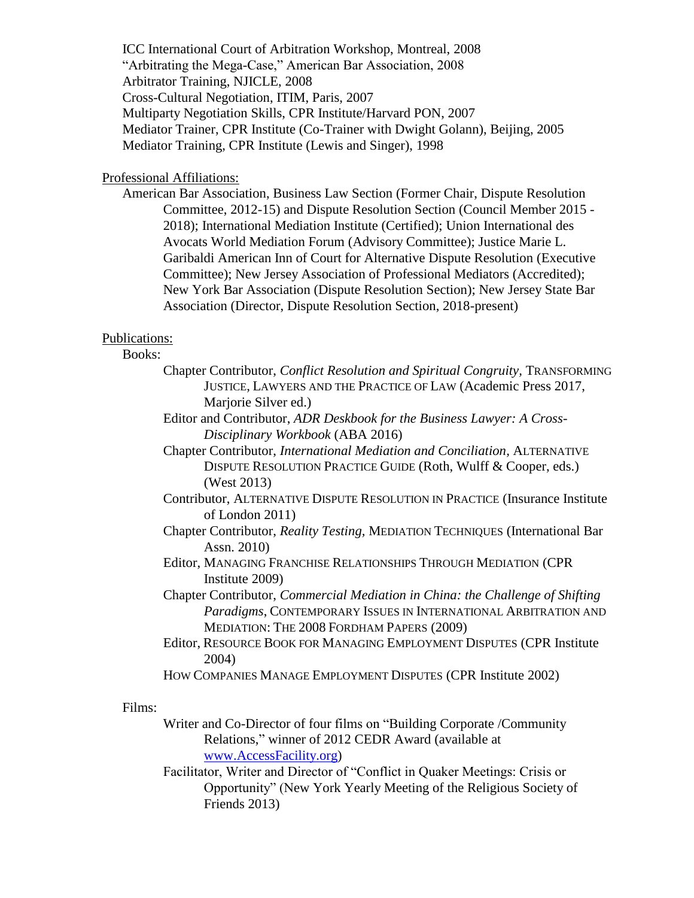ICC International Court of Arbitration Workshop, Montreal, 2008 "Arbitrating the Mega-Case," American Bar Association, 2008 Arbitrator Training, NJICLE, 2008 Cross-Cultural Negotiation, ITIM, Paris, 2007 Multiparty Negotiation Skills, CPR Institute/Harvard PON, 2007 Mediator Trainer, CPR Institute (Co-Trainer with Dwight Golann), Beijing, 2005 Mediator Training, CPR Institute (Lewis and Singer), 1998

### Professional Affiliations:

American Bar Association, Business Law Section (Former Chair, Dispute Resolution Committee, 2012-15) and Dispute Resolution Section (Council Member 2015 - 2018); International Mediation Institute (Certified); Union International des Avocats World Mediation Forum (Advisory Committee); Justice Marie L. Garibaldi American Inn of Court for Alternative Dispute Resolution (Executive Committee); New Jersey Association of Professional Mediators (Accredited); New York Bar Association (Dispute Resolution Section); New Jersey State Bar Association (Director, Dispute Resolution Section, 2018-present)

### Publications:

Books:

- Chapter Contributor, *Conflict Resolution and Spiritual Congruity,* TRANSFORMING JUSTICE, LAWYERS AND THE PRACTICE OF LAW (Academic Press 2017, Marjorie Silver ed.)
- Editor and Contributor, *ADR Deskbook for the Business Lawyer: A Cross-Disciplinary Workbook* (ABA 2016)
- Chapter Contributor, *International Mediation and Conciliation,* ALTERNATIVE DISPUTE RESOLUTION PRACTICE GUIDE (Roth, Wulff & Cooper, eds.) (West 2013)
- Contributor, ALTERNATIVE DISPUTE RESOLUTION IN PRACTICE (Insurance Institute of London 2011)
- Chapter Contributor, *Reality Testing,* MEDIATION TECHNIQUES (International Bar Assn. 2010)
- Editor, MANAGING FRANCHISE RELATIONSHIPS THROUGH MEDIATION (CPR Institute 2009)
- Chapter Contributor, *Commercial Mediation in China: the Challenge of Shifting Paradigms*, CONTEMPORARY ISSUES IN INTERNATIONAL ARBITRATION AND MEDIATION: THE 2008 FORDHAM PAPERS (2009)
- Editor, RESOURCE BOOK FOR MANAGING EMPLOYMENT DISPUTES (CPR Institute 2004)

HOW COMPANIES MANAGE EMPLOYMENT DISPUTES (CPR Institute 2002)

#### Films:

Writer and Co-Director of four films on "Building Corporate /Community Relations," winner of 2012 CEDR Award (available at [www.AccessFacility.org\)](http://www.accessfacility.org/)

Facilitator, Writer and Director of "Conflict in Quaker Meetings: Crisis or Opportunity" (New York Yearly Meeting of the Religious Society of Friends 2013)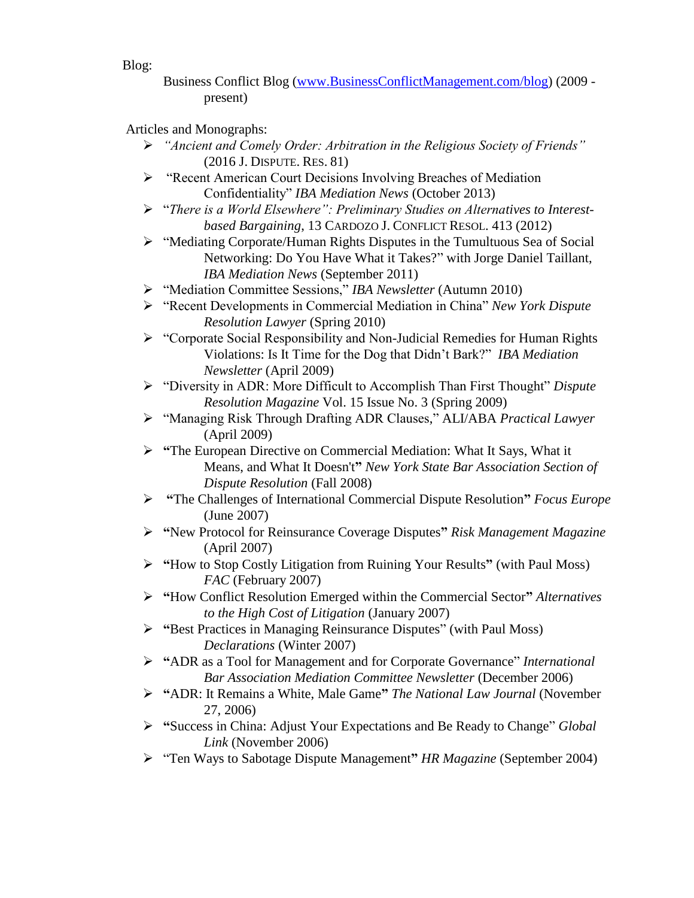Blog:

Business Conflict Blog [\(www.BusinessConflictManagement.com/blog\)](http://www.businessconflictmanagement.com/blog) (2009 present)

Articles and Monographs:

- ➢ *"Ancient and Comely Order: Arbitration in the Religious Society of Friends"*  (2016 J. DISPUTE. RES. 81)
- ➢ "Recent American Court Decisions Involving Breaches of Mediation Confidentiality" *IBA Mediation News* (October 2013)
- ➢ "*There is a World Elsewhere": Preliminary Studies on Alternatives to Interestbased Bargaining*, 13 CARDOZO J. CONFLICT RESOL. 413 (2012)
- ➢ "Mediating Corporate/Human Rights Disputes in the Tumultuous Sea of Social Networking: Do You Have What it Takes?" with Jorge Daniel Taillant, *IBA Mediation News* (September 2011)
- ➢ "Mediation Committee Sessions," *IBA Newsletter* (Autumn 2010)
- ➢ "Recent Developments in Commercial Mediation in China" *New York Dispute Resolution Lawyer* (Spring 2010)
- ➢ "Corporate Social Responsibility and Non-Judicial Remedies for Human Rights Violations: Is It Time for the Dog that Didn't Bark?" *IBA Mediation Newsletter* (April 2009)
- ➢ "Diversity in ADR: More Difficult to Accomplish Than First Thought" *Dispute Resolution Magazine* Vol. 15 Issue No. 3 (Spring 2009)
- ➢ "Managing Risk Through Drafting ADR Clauses," ALI/ABA *Practical Lawyer* (April 2009)
- ➢ **"**[The European Directive on Commercial Mediation: What It Says, What it](http://www.businessconflictmanagement.com/pdf/BCMpress_EUDirective.pdf)  Means, [and What It Doesn't](http://www.businessconflictmanagement.com/pdf/BCMpress_EUDirective.pdf)**"** *New York State Bar Association Section of Dispute Resolution* (Fall 2008)
- ➢ **"**[The Challenges of International Commercial Dispute Resolution](http://www.businessconflictmanagement.com/pdf/BCMpress_01.pdf)**"** *Focus Europe* (June 2007)
- ➢ **"**[New Protocol for Reinsurance Coverage Disputes](http://www.businessconflictmanagement.com/pdf/BCMpress_02.pdf)**"** *Risk Management Magazine* (April 2007)
- ➢ **"**[How to Stop Costly Litigation from Ruining Your Results](http://www.businessconflictmanagement.com/pdf/BCMpress_05.pdf)**"** (with Paul Moss) *FAC* (February 2007)
- ➢ **"**[How Conflict Resolution Emerged within the Commercial Sector](http://www.businessconflictmanagement.com/pdf/BCMpress_14.pdf)**"** *Alternatives to the High Cost of Litigation* (January 2007)
- ➢ **"**[Best Practices in Managing Reinsurance Disputes"](http://www.businessconflictmanagement.com/pdf/BCMpress_06.pdf) (with Paul Moss) *Declarations* (Winter 2007)
- ➢ **"**[ADR as a Tool for Management and for Corporate Governance"](http://www.businessconflictmanagement.com/pdf/BCMpress_07.pdf) *International Bar Association Mediation Committee Newsletter* (December 2006)
- ➢ **"**[ADR: It Remains a White, Male Game](http://www.businessconflictmanagement.com/pdf/BCMpress_08.pdf)**"** *The National Law Journal* (November 27, 2006)
- ➢ **"**[Success in China: Adjust Your Expectations and Be Ready to Change"](http://www.businessconflictmanagement.com/pdf/BCMpress_09.pdf) *Global Link* (November 2006)
- ➢ ["Ten Ways to Sabotage Dispute Management](http://www.businessconflictmanagement.com/pdf/BCMpress_12.pdf)**"** *HR Magazine* (September 2004)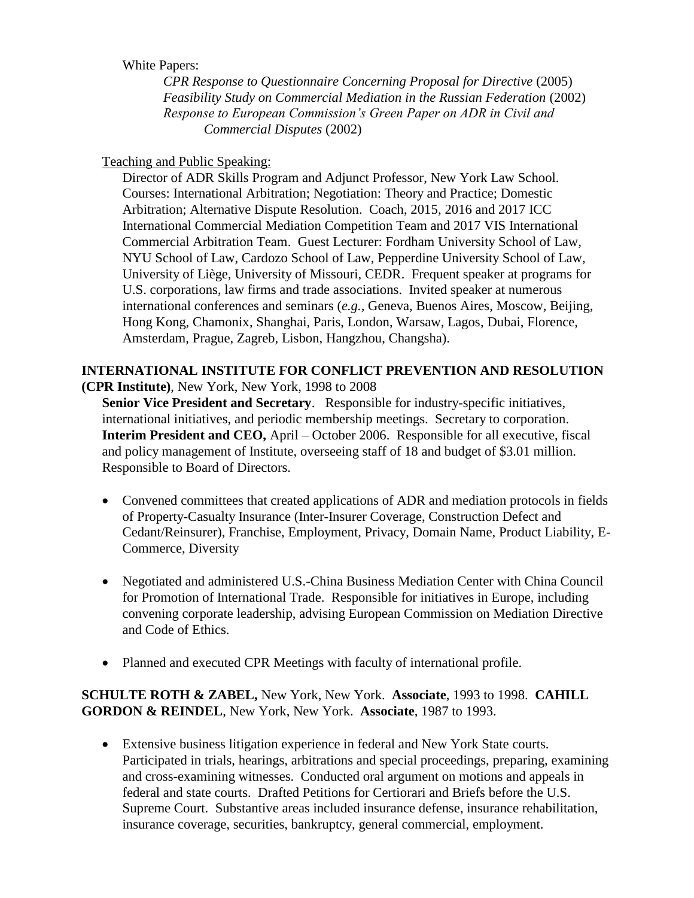White Papers:

*CPR Response to Questionnaire Concerning Proposal for Directive* (2005) *Feasibility Study on Commercial Mediation in the Russian Federation* (2002) *Response to European Commission's Green Paper on ADR in Civil and Commercial Disputes* (2002)

Teaching and Public Speaking:

Director of ADR Skills Program and Adjunct Professor, New York Law School. Courses: International Arbitration; Negotiation: Theory and Practice; Domestic Arbitration; Alternative Dispute Resolution. Coach, 2015, 2016 and 2017 ICC International Commercial Mediation Competition Team and 2017 VIS International Commercial Arbitration Team. Guest Lecturer: Fordham University School of Law, NYU School of Law, Cardozo School of Law, Pepperdine University School of Law, University of Liège, University of Missouri, CEDR. Frequent speaker at programs for U.S. corporations, law firms and trade associations. Invited speaker at numerous international conferences and seminars (*e.g.,* Geneva, Buenos Aires, Moscow, Beijing, Hong Kong, Chamonix, Shanghai, Paris, London, Warsaw, Lagos, Dubai, Florence, Amsterdam, Prague, Zagreb, Lisbon, Hangzhou, Changsha).

## **INTERNATIONAL INSTITUTE FOR CONFLICT PREVENTION AND RESOLUTION (CPR Institute)**, New York, New York, 1998 to 2008

**Senior Vice President and Secretary**. Responsible for industry-specific initiatives, international initiatives, and periodic membership meetings. Secretary to corporation. **Interim President and CEO,** April – October 2006. Responsible for all executive, fiscal and policy management of Institute, overseeing staff of 18 and budget of \$3.01 million. Responsible to Board of Directors.

- Convened committees that created applications of ADR and mediation protocols in fields of Property-Casualty Insurance (Inter-Insurer Coverage, Construction Defect and Cedant/Reinsurer), Franchise, Employment, Privacy, Domain Name, Product Liability, E-Commerce, Diversity
- Negotiated and administered U.S.-China Business Mediation Center with China Council for Promotion of International Trade. Responsible for initiatives in Europe, including convening corporate leadership, advising European Commission on Mediation Directive and Code of Ethics.
- Planned and executed CPR Meetings with faculty of international profile.

# **SCHULTE ROTH & ZABEL,** New York, New York. **Associate**, 1993 to 1998. **CAHILL GORDON & REINDEL**, New York, New York. **Associate**, 1987 to 1993.

• Extensive business litigation experience in federal and New York State courts. Participated in trials, hearings, arbitrations and special proceedings, preparing, examining and cross-examining witnesses. Conducted oral argument on motions and appeals in federal and state courts. Drafted Petitions for Certiorari and Briefs before the U.S. Supreme Court. Substantive areas included insurance defense, insurance rehabilitation, insurance coverage, securities, bankruptcy, general commercial, employment.